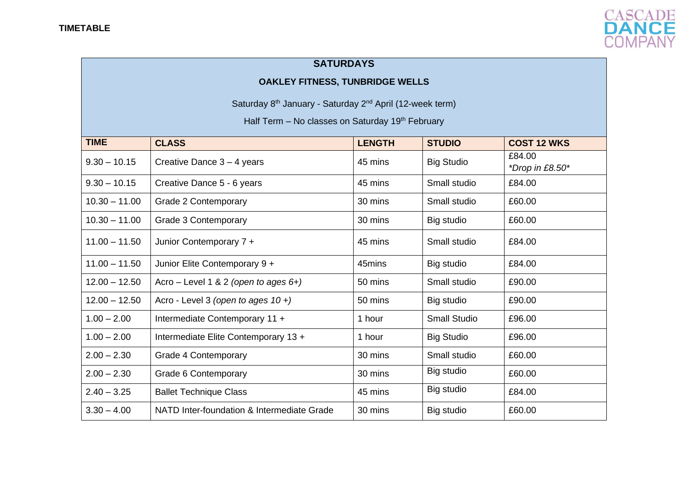

## **SATURDAYS**

## **OAKLEY FITNESS, TUNBRIDGE WELLS**

Saturday 8<sup>th</sup> January - Saturday 2<sup>nd</sup> April (12-week term)

Half Term – No classes on Saturday  $19<sup>th</sup>$  February

| <b>TIME</b>     | <b>CLASS</b>                               | <b>LENGTH</b> | <b>STUDIO</b>       | <b>COST 12 WKS</b>        |
|-----------------|--------------------------------------------|---------------|---------------------|---------------------------|
| $9.30 - 10.15$  | Creative Dance $3 - 4$ years               | 45 mins       | <b>Big Studio</b>   | £84.00<br>*Drop in £8.50* |
| $9.30 - 10.15$  | Creative Dance 5 - 6 years                 | 45 mins       | Small studio        | £84.00                    |
| $10.30 - 11.00$ | Grade 2 Contemporary                       | 30 mins       | Small studio        | £60.00                    |
| $10.30 - 11.00$ | <b>Grade 3 Contemporary</b>                | 30 mins       | Big studio          | £60.00                    |
| $11.00 - 11.50$ | Junior Contemporary 7 +                    | 45 mins       | Small studio        | £84.00                    |
| $11.00 - 11.50$ | Junior Elite Contemporary 9 +              | 45mins        | Big studio          | £84.00                    |
| $12.00 - 12.50$ | Acro – Level 1 & 2 (open to ages $6+$ )    | 50 mins       | Small studio        | £90.00                    |
| $12.00 - 12.50$ | Acro - Level 3 (open to ages $10 +$ )      | 50 mins       | Big studio          | £90.00                    |
| $1.00 - 2.00$   | Intermediate Contemporary 11 +             | 1 hour        | <b>Small Studio</b> | £96.00                    |
| $1.00 - 2.00$   | Intermediate Elite Contemporary 13 +       | 1 hour        | <b>Big Studio</b>   | £96.00                    |
| $2.00 - 2.30$   | <b>Grade 4 Contemporary</b>                | 30 mins       | Small studio        | £60.00                    |
| $2.00 - 2.30$   | Grade 6 Contemporary                       | 30 mins       | Big studio          | £60.00                    |
| $2.40 - 3.25$   | <b>Ballet Technique Class</b>              | 45 mins       | Big studio          | £84.00                    |
| $3.30 - 4.00$   | NATD Inter-foundation & Intermediate Grade | 30 mins       | Big studio          | £60.00                    |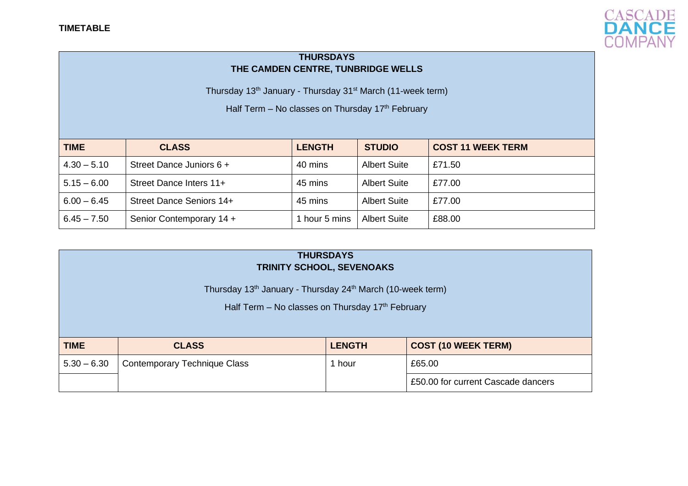

## **THURSDAYS THE CAMDEN CENTRE, TUNBRIDGE WELLS**

Thursday 13<sup>th</sup> January - Thursday 31<sup>st</sup> March (11-week term)

Half Term – No classes on Thursday  $17<sup>th</sup>$  February

| <b>TIME</b>   | <b>CLASS</b>             | <b>LENGTH</b> | <b>STUDIO</b>       | <b>COST 11 WEEK TERM</b> |
|---------------|--------------------------|---------------|---------------------|--------------------------|
| $4.30 - 5.10$ | Street Dance Juniors 6 + | 40 mins       | <b>Albert Suite</b> | £71.50                   |
| $5.15 - 6.00$ | Street Dance Inters 11+  | 45 mins       | <b>Albert Suite</b> | £77.00                   |
| $6.00 - 6.45$ | Street Dance Seniors 14+ | 45 mins       | <b>Albert Suite</b> | £77.00                   |
| $6.45 - 7.50$ | Senior Contemporary 14 + | hour 5 mins   | <b>Albert Suite</b> | £88.00                   |

| <b>THURSDAYS</b><br><b>TRINITY SCHOOL, SEVENOAKS</b>                                                                                   |                                     |               |                                    |  |
|----------------------------------------------------------------------------------------------------------------------------------------|-------------------------------------|---------------|------------------------------------|--|
| Thursday 13 <sup>th</sup> January - Thursday 24 <sup>th</sup> March (10-week term)<br>Half Term - No classes on Thursday 17th February |                                     |               |                                    |  |
| <b>TIME</b>                                                                                                                            | <b>CLASS</b>                        | <b>LENGTH</b> | <b>COST (10 WEEK TERM)</b>         |  |
| $5.30 - 6.30$                                                                                                                          | <b>Contemporary Technique Class</b> | 1 hour        | £65.00                             |  |
|                                                                                                                                        |                                     |               | £50,00 for current Cascade dancers |  |